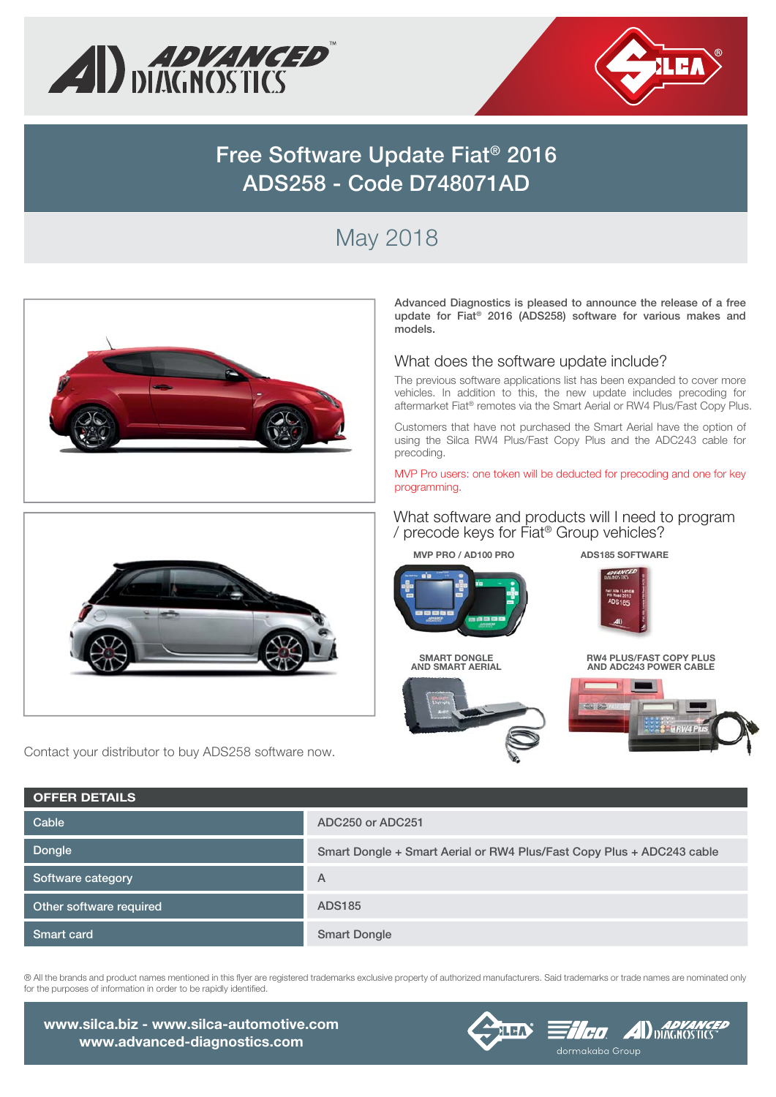



# **Free Software Update Fiat® 2016 ADS258 - Code D748071AD**

# May 2018



® All the brands and product names mentioned in this flyer are registered trademarks exclusive property of authorized manufacturers. Said trademarks or trade names are nominated only for the purposes of information in order to be rapidly identified.

**Smart Dongle**

**www.silca.biz - www.silca-automotive.com www.advanced-diagnostics.com**

**Smart card**

#### **FILED AD DUNG NO STUCK ALEA** dormakaba Group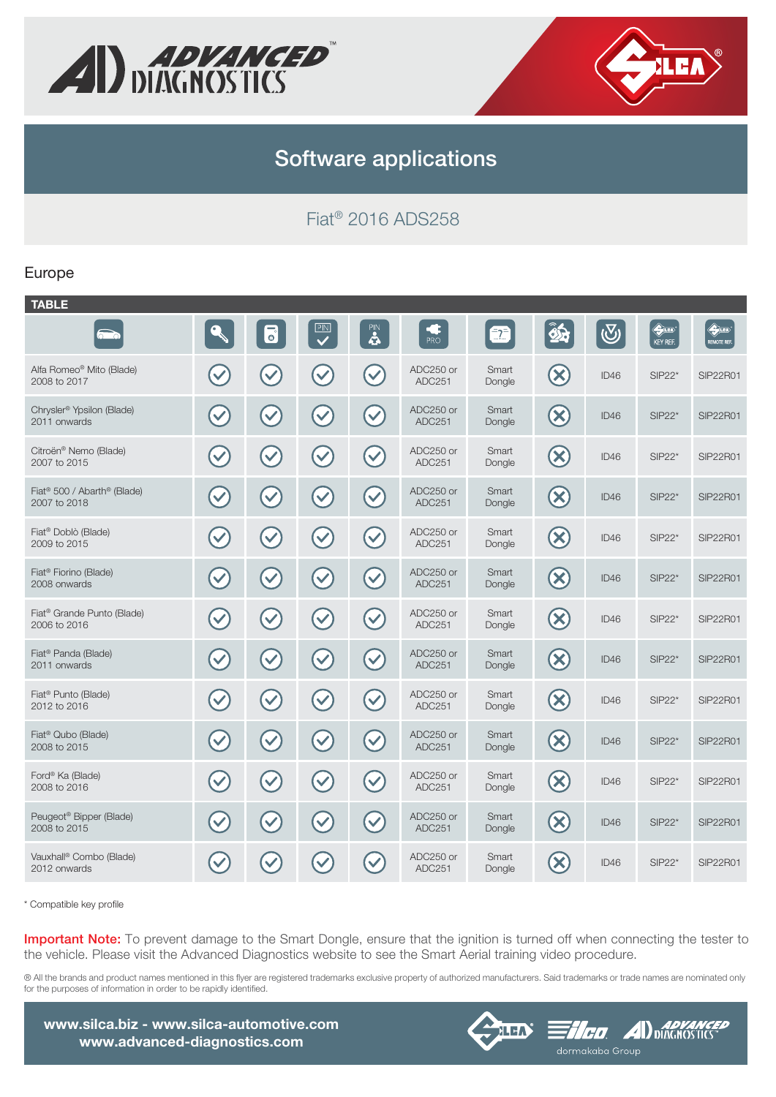



## **Software applications**

Fiat® 2016 ADS258

#### Europe

| <b>TABLE</b>                                            |              |                      |              |                      |                     |                 |                                 |            |                                        |                                   |
|---------------------------------------------------------|--------------|----------------------|--------------|----------------------|---------------------|-----------------|---------------------------------|------------|----------------------------------------|-----------------------------------|
| $\overline{\bullet}$                                    |              | $\overline{\bullet}$ | PIN          | PIN<br>4             | C<br>PRO            | $\bar{=}2$      | as.                             | $\bigcirc$ | $\bigoplus_{i=1}^n$<br><b>KEY REF.</b> | $\bigoplus_{i=1}^n$<br>REMOTE REF |
| Alfa Romeo® Mito (Blade)<br>2008 to 2017                |              |                      |              | $\blacktriangledown$ | ADC250 or<br>ADC251 | Smart<br>Dongle | $(\mathsf{x})$                  | ID46       | $SIP22*$                               | <b>SIP22R01</b>                   |
| Chrysler <sup>®</sup> Ypsilon (Blade)<br>2011 onwards   | $\checkmark$ |                      |              | $\blacktriangledown$ | ADC250 or<br>ADC251 | Smart<br>Dongle | $\infty$                        | ID46       | $SIP22*$                               | <b>SIP22R01</b>                   |
| Citroën® Nemo (Blade)<br>2007 to 2015                   |              | $\checkmark$         |              | $\blacktriangledown$ | ADC250 or<br>ADC251 | Smart<br>Dongle | $\bigotimes$                    | ID46       | $SIP22*$                               | <b>SIP22R01</b>                   |
| Fiat <sup>®</sup> 500 / Abarth® (Blade)<br>2007 to 2018 | $\checkmark$ | $\checkmark$         | $\checkmark$ | $\blacktriangledown$ | ADC250 or<br>ADC251 | Smart<br>Dongle | $\left(\mathsf{x}\right)$       | ID46       | $SIP22*$                               | <b>SIP22R01</b>                   |
| Fiat <sup>®</sup> Doblò (Blade)<br>2009 to 2015         |              |                      |              | $\checkmark$         | ADC250 or<br>ADC251 | Smart<br>Dongle | $(\bm{\times})$                 | ID46       | $SIP22*$                               | <b>SIP22R01</b>                   |
| Fiat <sup>®</sup> Fiorino (Blade)<br>2008 onwards       |              | $\checkmark$         |              | $\blacktriangledown$ | ADC250 or<br>ADC251 | Smart<br>Dongle | $\left(\mathsf{x}\right)$       | ID46       | $SIP22*$                               | <b>SIP22R01</b>                   |
| Fiat <sup>®</sup> Grande Punto (Blade)<br>2006 to 2016  |              |                      |              | $\blacktriangledown$ | ADC250 or<br>ADC251 | Smart<br>Dongle | $\left( \mathsf{x}\right)$      | ID46       | $SIP22*$                               | <b>SIP22R01</b>                   |
| Fiat <sup>®</sup> Panda (Blade)<br>2011 onwards         | $\checkmark$ |                      |              | $\blacktriangledown$ | ADC250 or<br>ADC251 | Smart<br>Dongle | $\left( \mathbf{\infty}\right)$ | ID46       | $SIP22*$                               | SIP22R01                          |
| Fiat <sup>®</sup> Punto (Blade)<br>2012 to 2016         |              |                      |              | $\blacktriangledown$ | ADC250 or<br>ADC251 | Smart<br>Dongle | $\left( \infty \right)$         | ID46       | $SIP22*$                               | <b>SIP22R01</b>                   |
| Fiat <sup>®</sup> Qubo (Blade)<br>2008 to 2015          |              | $\checkmark$         |              | $\checkmark$         | ADC250 or<br>ADC251 | Smart<br>Dongle | $({\bm \times})$                | ID46       | $SIP22*$                               | <b>SIP22R01</b>                   |
| Ford® Ka (Blade)<br>2008 to 2016                        |              | $\checkmark$         |              | $\blacktriangledown$ | ADC250 or<br>ADC251 | Smart<br>Dongle | $\infty$                        | ID46       | $SIP22*$                               | <b>SIP22R01</b>                   |
| Peugeot <sup>®</sup> Bipper (Blade)<br>2008 to 2015     |              |                      |              | $\blacktriangledown$ | ADC250 or<br>ADC251 | Smart<br>Dongle | $\left( \mathsf{x}\right)$      | ID46       | $SIP22*$                               | <b>SIP22R01</b>                   |
| Vauxhall <sup>®</sup> Combo (Blade)<br>2012 onwards     |              |                      |              |                      | ADC250 or<br>ADC251 | Smart<br>Dongle | $\mathbf x$                     | ID46       | $SIP22*$                               | <b>SIP22R01</b>                   |

\* Compatible key profile

**Important Note:** To prevent damage to the Smart Dongle, ensure that the ignition is turned off when connecting the tester to the vehicle. Please visit the Advanced Diagnostics website to see the Smart Aerial training video procedure.

® All the brands and product names mentioned in this flyer are registered trademarks exclusive property of authorized manufacturers. Said trademarks or trade names are nominated only for the purposes of information in order to be rapidly identified.

**www.silca.biz - www.silca-automotive.com www.advanced-diagnostics.com**